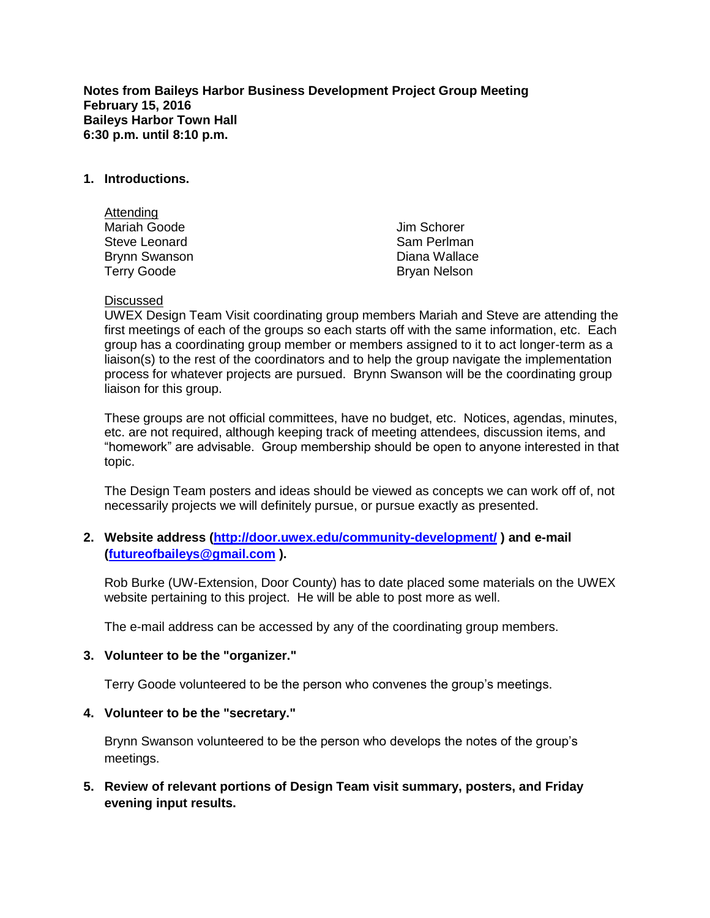**Notes from Baileys Harbor Business Development Project Group Meeting February 15, 2016 Baileys Harbor Town Hall 6:30 p.m. until 8:10 p.m.**

### **1. Introductions.**

| Attending            |                     |
|----------------------|---------------------|
| <b>Mariah Goode</b>  | Jim Schorer         |
| Steve Leonard        | Sam Perlman         |
| <b>Brynn Swanson</b> | Diana Wallace       |
| <b>Terry Goode</b>   | <b>Bryan Nelson</b> |

#### Discussed

UWEX Design Team Visit coordinating group members Mariah and Steve are attending the first meetings of each of the groups so each starts off with the same information, etc. Each group has a coordinating group member or members assigned to it to act longer-term as a liaison(s) to the rest of the coordinators and to help the group navigate the implementation process for whatever projects are pursued. Brynn Swanson will be the coordinating group liaison for this group.

These groups are not official committees, have no budget, etc. Notices, agendas, minutes, etc. are not required, although keeping track of meeting attendees, discussion items, and "homework" are advisable. Group membership should be open to anyone interested in that topic.

The Design Team posters and ideas should be viewed as concepts we can work off of, not necessarily projects we will definitely pursue, or pursue exactly as presented.

## **2. Website address [\(http://door.uwex.edu/community-development/](http://door.uwex.edu/community-development/) ) and e-mail [\(futureofbaileys@gmail.com](mailto:futureofbaileys@gmail.com) ).**

Rob Burke (UW-Extension, Door County) has to date placed some materials on the UWEX website pertaining to this project. He will be able to post more as well.

The e-mail address can be accessed by any of the coordinating group members.

#### **3. Volunteer to be the "organizer."**

Terry Goode volunteered to be the person who convenes the group's meetings.

#### **4. Volunteer to be the "secretary."**

Brynn Swanson volunteered to be the person who develops the notes of the group's meetings.

**5. Review of relevant portions of Design Team visit summary, posters, and Friday evening input results.**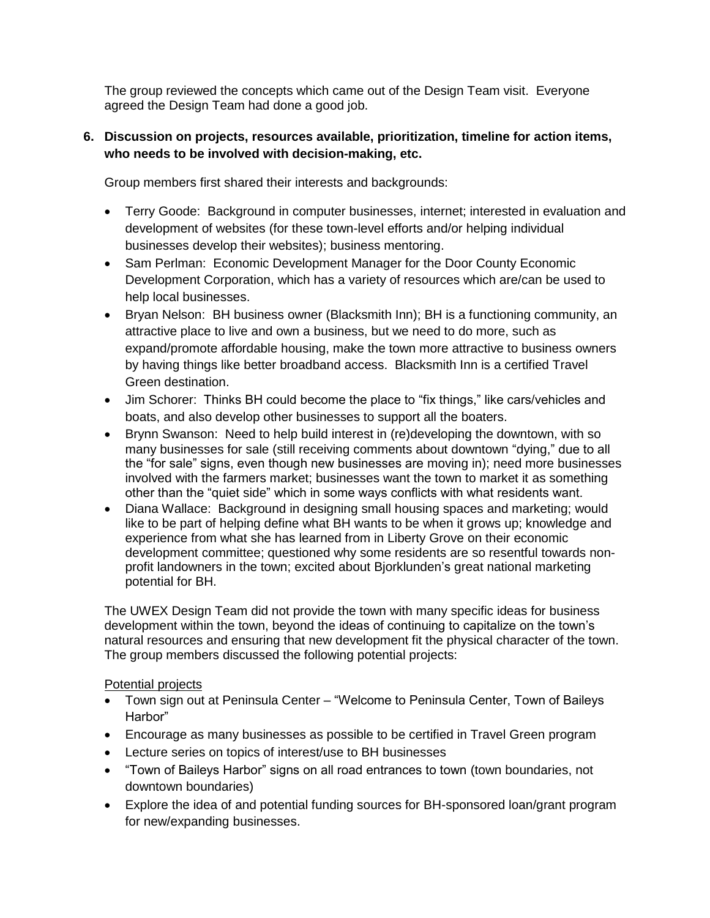The group reviewed the concepts which came out of the Design Team visit. Everyone agreed the Design Team had done a good job.

## **6. Discussion on projects, resources available, prioritization, timeline for action items, who needs to be involved with decision-making, etc.**

Group members first shared their interests and backgrounds:

- Terry Goode: Background in computer businesses, internet; interested in evaluation and development of websites (for these town-level efforts and/or helping individual businesses develop their websites); business mentoring.
- Sam Perlman: Economic Development Manager for the Door County Economic Development Corporation, which has a variety of resources which are/can be used to help local businesses.
- Bryan Nelson: BH business owner (Blacksmith Inn); BH is a functioning community, an attractive place to live and own a business, but we need to do more, such as expand/promote affordable housing, make the town more attractive to business owners by having things like better broadband access. Blacksmith Inn is a certified Travel Green destination.
- Jim Schorer: Thinks BH could become the place to "fix things," like cars/vehicles and boats, and also develop other businesses to support all the boaters.
- Brynn Swanson: Need to help build interest in (re)developing the downtown, with so many businesses for sale (still receiving comments about downtown "dying," due to all the "for sale" signs, even though new businesses are moving in); need more businesses involved with the farmers market; businesses want the town to market it as something other than the "quiet side" which in some ways conflicts with what residents want.
- Diana Wallace: Background in designing small housing spaces and marketing; would like to be part of helping define what BH wants to be when it grows up; knowledge and experience from what she has learned from in Liberty Grove on their economic development committee; questioned why some residents are so resentful towards nonprofit landowners in the town; excited about Bjorklunden's great national marketing potential for BH.

The UWEX Design Team did not provide the town with many specific ideas for business development within the town, beyond the ideas of continuing to capitalize on the town's natural resources and ensuring that new development fit the physical character of the town. The group members discussed the following potential projects:

# Potential projects

- Town sign out at Peninsula Center "Welcome to Peninsula Center, Town of Baileys Harbor"
- Encourage as many businesses as possible to be certified in Travel Green program
- Lecture series on topics of interest/use to BH businesses
- "Town of Baileys Harbor" signs on all road entrances to town (town boundaries, not downtown boundaries)
- Explore the idea of and potential funding sources for BH-sponsored loan/grant program for new/expanding businesses.